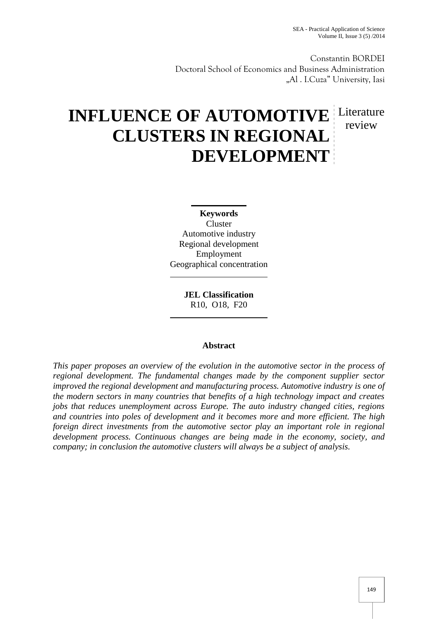Constantin BORDEI Doctoral School of Economics and Business Administration "Al . I.Cuza" University, Iasi

# **INFLUENCE OF AUTOMOTIVE** Literature **CLUSTERS IN REGIONAL DEVELOPMENT** review

**Keywords** Cluster Automotive industry

Regional development Employment Geographical concentration

> **JEL Classification** R10, O18, F20

# **Abstract**

*This paper proposes an overview of the evolution in the automotive sector in the process of regional development. The fundamental changes made by the component supplier sector improved the regional development and manufacturing process. Automotive industry is one of the modern sectors in many countries that benefits of a high technology impact and creates jobs that reduces unemployment across Europe. The auto industry changed cities, regions and countries into poles of development and it becomes more and more efficient. The high foreign direct investments from the automotive sector play an important role in regional development process. Continuous changes are being made in the economy, society, and company; in conclusion the automotive clusters will always be a subject of analysis.*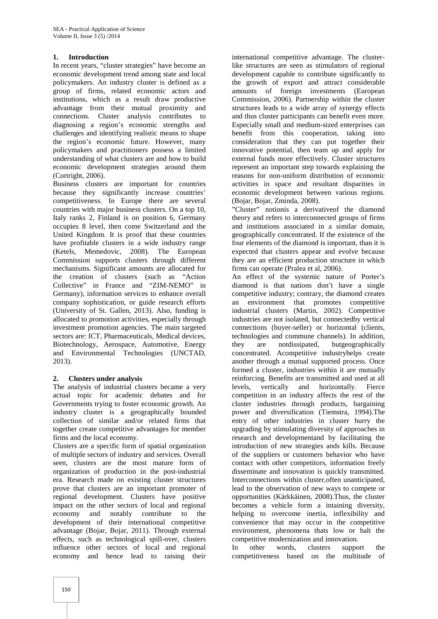### **1. Introduction**

In recent years, "cluster strategies" have become an economic development trend among state and local policymakers. An industry cluster is defined as a group of firms, related economic actors and institutions, which as a result draw productive advantage from their mutual proximity and connections. Cluster analysis contributes to diagnosing a region's economic strengths and challenges and identifying realistic means to shape the region's economic future. However, many policymakers and practitioners possess a limited understanding of what clusters are and how to build economic development strategies around them (Cortright, 2006).

Business clusters are important for countries because they significantly increase countries' competitiveness. In Europe there are several countries with major business clusters. On a top 10, Italy ranks 2, Finland is on position 6, Germany occupies 8 level, then come Switzerland and the United Kingdom. It is proof that these countries have profitable clusters in a wide industry range (Ketels, Memedovic, 2008). The European Commission supports clusters through different mechanisms. Significant amounts are allocated for the creation of clusters (such as "Action Collective" in France and "ZIM-NEMO" in Germany), information services to enhance overall company sophistication, or guide research efforts (University of St. Gallen, 2013). Also, funding is allocated to promotion activities, especially through investment promotion agencies. The main targeted sectors are: ICT, Pharmaceuticals, Medical devices, Biotechnology, Aerospace, Automotive, Energy they and Environmental Technologies (UNCTAD, 2013).

# **2. Clusters under analysis**

The analysis of industrial clusters became a very actual topic for academic debates and for Governments trying to foster economic growth. An industry cluster is a geographically bounded collection of similar and/or related firms that together create competitive advantages for member firms and the local economy.

Clusters are a specific form of spatial organization of multiple sectors of industry and services. Overall seen, clusters are the most mature form of organization of production in the post-industrial era. Research made on existing cluster structures prove that clusters are an important promoter of regional development. Clusters have positive impact on the other sectors of local and regional economy and notably contribute to the development of their international competitive advantage (Bojar, Bojar, 2011). Through external effects, such as technological spill-over, clusters influence other sectors of local and regional economy and hence lead to raising their

international competitive advantage. The clusterlike structures are seen as stimulators of regional development capable to contribute significantly to the growth of export and attract considerable amounts of foreign investments (European Commission, 2006). Partnership within the cluster structures leads to a wide array of synergy effects and thus cluster participants can benefit even more. Especially small and medium-sized enterprises can benefit from this cooperation, taking into consideration that they can put together their innovative potential, then team up and apply for external funds more effectively. Cluster structures represent an important step towards explaining the reasons for non-uniform distribution of economic activities in space and resultant disparities in economic development between various regions. (Bojar, Bojar, Zminda, 2008).

"Cluster" notionis a derivativeof the diamond theory and refers to interconnected groups of firms and institutions associated in a similar domain, geographically concentrated. If the existence of the four elements of the diamond is important, than it is expected that clusters appear and evolve because they are an efficient production structure in which firms can operate (Pralea et al, 2006).

An effect of the systemic nature of Porter's diamond is that nations don't have a single competitive industry; contrary, the diamond creates an environment that promotes competitive industrial clusters (Martin, 2002). Competitive industries are not isolated, but connectedby vertical connections (buyer-seller) or horizontal (clients, technologies and commune channels). In addition, are notdissipated, butgeographically concentrated. Acompetitive industryhelps create another through a mutual supported process. Once formed a cluster, industries within it are mutually reinforcing. Benefits are transmitted and used at all levels, vertically and horizontally. Fierce competition in an industry affects the rest of the cluster industries through products, bargaining power and diversification (Tiemstra, 1994).The entry of other industries in cluster hurry the upgrading by stimulating diversity of approaches in research and developmentand by facilitating the introduction of new strategies ands kills. Because of the suppliers or customers behavior who have contact with other competitors, information freely disseminate and innovation is quickly transmitted. Interconnections within cluster,often unanticipated, lead to the observation of new ways to compete or opportunities (Kärkkäinen, 2008).Thus, the cluster becomes a vehicle form a intaining diversity, helping to overcome inertia, inflexibility and convenience that may occur in the competitive environment, phenomena thats low or halt the competitive modernization and innovation.

In other words, clusters support the competitiveness based on the multitude of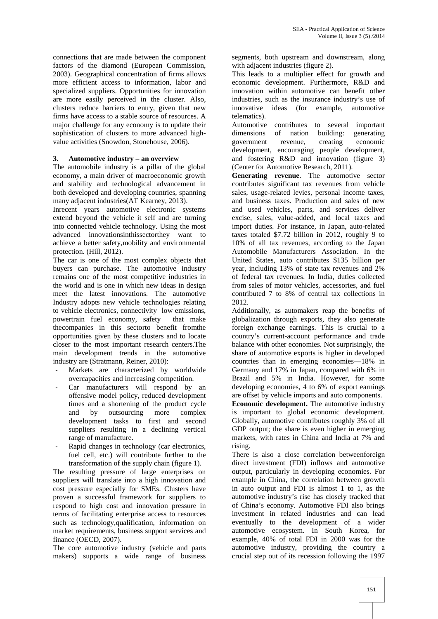connections that are made between the component factors of the diamond (European Commission, 2003). Geographical concentration of firms allows more efficient access to information, labor and specialized suppliers. Opportunities for innovation are more easily perceived in the cluster. Also, clusters reduce barriers to entry, given that new firms have access to a stable source of resources. A major challenge for any economy is to update their sophistication of clusters to more advanced high value activities (Snowdon, Stonehouse, 2006).

#### **3. Automotive industry – an overview**

The automobile industry is a pillar of the global economy, a main driver of macroeconomic growth and stability and technological advancement in both developed and developing countries, spanning many adjacent industries(AT Kearney, 2013).

Inrecent years automotive electronic systems extend beyond the vehicle it self and are turning into connected vehicle technology. Using the most advanced innovationsinthissectorthey want to achieve a better safety,mobility and environmental protection. (Hill, 2012).

The car is one of the most complex objects that buyers can purchase. The automotive industry remains one of the most competitive industries in the world and is one in which new ideas in design meet the latest innovations. The automotive Industry adopts new vehicle technologies relating to vehicle electronics, connectivity low emissions, powertrain fuel economy, safety that make thecompanies in this sectorto benefit fromthe opportunities given by these clusters and to locate closer to the most important research centers.The main development trends in the automotive industry are (Stratmann, Reiner, 2010):

- Markets are characterized by worldwide overcapacities and increasing competition.
- Car manufacturers will respond by an offensive model policy, reduced development times and a shortening of the product cycle and by outsourcing more complex development tasks to first and second suppliers resulting in a declining vertical range of manufacture.
- Rapid changes in technology (car electronics, fuel cell, etc.) will contribute further to the transformation of the supply chain (figure 1).

The resulting pressure of large enterprises on suppliers will translate into a high innovation and cost pressure especially for SMEs. Clusters have proven a successful framework for suppliers to respond to high cost and innovation pressure in terms of facilitating enterprise access to resources such as technology,qualification, information on market requirements, business support services and finance (OECD, 2007).

The core automotive industry (vehicle and parts makers) supports a wide range of business segments, both upstream and downstream, along with adjacent industries (figure 2).

This leads to a multiplier effect for growth and economic development. Furthermore, R&D and innovation within automotive can benefit other industries, such as the insurance industry's use of innovative ideas (for example, automotive telematics).

Automotive contributes to several important dimensions of nation building: generating government revenue, creating economic development, encouraging people development, and fostering R&D and innovation (figure 3) (Center for Automotive Research, 2011).

**Generating revenue**. The automotive sector contributes significant tax revenues from vehicle sales, usage-related levies, personal income taxes, and business taxes. Production and sales of new and used vehicles, parts, and services deliver excise, sales, value-added, and local taxes and import duties. For instance, in Japan, auto-related taxes totaled \$7.72 billion in 2012, roughly 9 to 10% of all tax revenues, according to the Japan Automobile Manufacturers Association. In the United States, auto contributes \$135 billion per year, including 13% of state tax revenues and 2% of federal tax revenues. In India, duties collected from sales of motor vehicles, accessories, and fuel contributed 7 to 8% of central tax collections in 2012.

Additionally, as automakers reap the benefits of globalization through exports, they also generate foreign exchange earnings. This is crucial to a country's current-account performance and trade balance with other economies. Not surprisingly, the share of automotive exports is higher in developed countries than in emerging economies—18% in Germany and 17% in Japan, compared with 6% in Brazil and 5% in India. However, for some developing economies, 4 to 6% of export earnings are offset by vehicle imports and auto components.

**Economic development.** The automotive industry is important to global economic development. Globally, automotive contributes roughly 3% of all GDP output; the share is even higher in emerging markets, with rates in China and India at 7% and rising.

There is also a close correlation betweenforeign direct investment (FDI) inflows and automotive output, particularly in developing economies. For example in China, the correlation between growth in auto output and FDI is almost 1 to 1, as the automotive industry's rise has closely tracked that of China's economy. Automotive FDI also brings investment in related industries and can lead eventually to the development of a wider automotive ecosystem. In South Korea, for example, 40% of total FDI in 2000 was for the automotive industry, providing the country a crucial step out of its recession following the 1997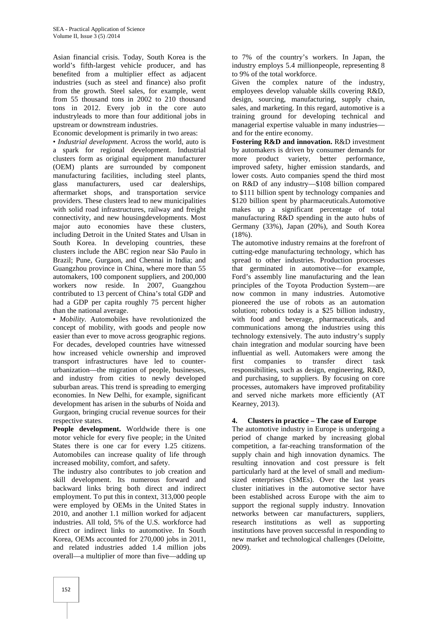Asian financial crisis. Today, South Korea is the world's fifth-largest vehicle producer, and has benefited from a multiplier effect as adjacent industries (such as steel and finance) also profit from the growth. Steel sales, for example, went from 55 thousand tons in 2002 to 210 thousand tons in 2012. Every job in the core auto industryleads to more than four additional jobs in upstream or downstream industries.

Economic development is primarily in two areas:

• *Industrial development*. Across the world, auto is a spark for regional development. Industrial clusters form as original equipment manufacturer (OEM) plants are surrounded by component manufacturing facilities, including steel plants, glass manufacturers, used car dealerships, aftermarket shops, and transportation service providers. These clusters lead to new municipalities with solid road infrastructures, railway and freight connectivity, and new housingdevelopments. Most major auto economies have these clusters, including Detroit in the United States and Ulsan in South Korea. In developing countries, these clusters include the ABC region near São Paulo in Brazil; Pune, Gurgaon, and Chennai in India; and Guangzhou province in China, where more than 55 automakers, 100 component suppliers, and 200,000 workers now reside. In 2007, Guangzhou contributed to 13 percent of China's total GDP and had a GDP per capita roughly 75 percent higher than the national average.

• *Mobility*. Automobiles have revolutionized the concept of mobility, with goods and people now easier than ever to move across geographic regions. For decades, developed countries have witnessed how increased vehicle ownership and improved transport infrastructures have led to counter urbanization—the migration of people, businesses, and industry from cities to newly developed suburban areas. This trend is spreading to emerging economies. In New Delhi, for example, significant development has arisen in the suburbs of Noida and Gurgaon, bringing crucial revenue sources for their respective states.

**People development.** Worldwide there is one motor vehicle for every five people; in the United States there is one car for every 1.25 citizens. Automobiles can increase quality of life through increased mobility, comfort, and safety.

The industry also contributes to job creation and skill development. Its numerous forward and backward links bring both direct and indirect employment. To put this in context, 313,000 people were employed by OEMs in the United States in 2010, and another 1.1 million worked for adjacent industries. All told, 5% of the U.S. workforce had direct or indirect links to automotive. In South Korea, OEMs accounted for 270,000 jobs in 2011, and related industries added 1.4 million jobs overall—a multiplier of more than five—adding up

to 7% of the country's workers. In Japan, the industry employs 5.4 millionpeople, representing 8 to 9% of the total workforce.

Given the complex nature of the industry, employees develop valuable skills covering R&D, design, sourcing, manufacturing, supply chain, sales, and marketing. In this regard, automotive is a training ground for developing technical and managerial expertise valuable in many industries and for the entire economy.

**Fostering R&D and innovation.** R&D investment by automakers is driven by consumer demands for more product variety, better performance, improved safety, higher emission standards, and lower costs. Auto companies spend the third most on R&D of any industry—\$108 billion compared to \$111 billion spent by technology companies and \$120 billion spent by pharmaceuticals.Automotive makes up a significant percentage of total manufacturing R&D spending in the auto hubs of Germany (33%), Japan (20%), and South Korea (18%).

The automotive industry remains at the forefront of cutting-edge manufacturing technology, which has spread to other industries. Production processes that germinated in automotive—for example, Ford's assembly line manufacturing and the lean principles of the Toyota Production System—are now common in many industries. Automotive pioneered the use of robots as an automation solution; robotics today is a \$25 billion industry, with food and beverage, pharmaceuticals, and communications among the industries using this technology extensively. The auto industry's supply chain integration and modular sourcing have been influential as well. Automakers were among the first companies to transfer direct task responsibilities, such as design, engineering, R&D, and purchasing, to suppliers. By focusing on core processes, automakers have improved profitability and served niche markets more efficiently (AT Kearney, 2013).

# **4. Clusters in practice – The case of Europe**

The automotive industry in Europe is undergoing a period of change marked by increasing global competition, a far-reaching transformation of the supply chain and high innovation dynamics. The resulting innovation and cost pressure is felt particularly hard at the level of small and medium sized enterprises (SMEs). Over the last years cluster initiatives in the automotive sector have been established across Europe with the aim to support the regional supply industry. Innovation networks between car manufacturers, suppliers, research institutions as well as supporting institutions have proven successful in responding to new market and technological challenges (Deloitte, 2009).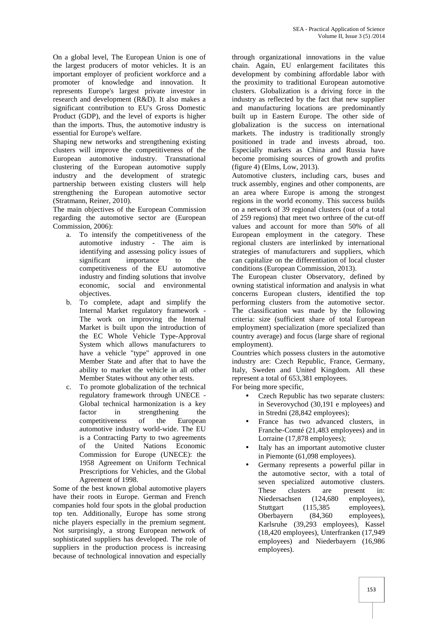On a global level, The European Union is one of the largest producers of motor vehicles. It is an important employer of proficient workforce and a promoter of knowledge and innovation. It represents Europe's largest private investor in research and development (R&D). It also makes a significant contribution to EU's Gross Domestic Product (GDP), and the level of exports is higher than the imports. Thus, the automotive industry is essential for Europe's welfare.

Shaping new networks and strengthening existing clusters will improve the competitiveness of the European automotive industry. Transnational clustering of the European automotive supply industry and the development of strategic partnership between existing clusters will help strengthening the European automotive sector (Stratmann, Reiner, 2010).

The main objectives of the European Commission regarding the automotive sector are (European Commission, 2006):

- a. To intensify the competitiveness of the automotive industry - The aim is identifying and assessing policy issues of significant importance to the competitiveness of the EU automotive industry and finding solutions that involve economic, social and environmental objectives.
- b. To complete, adapt and simplify the Internal Market regulatory framework - The work on improving the Internal Market is built upon the introduction of the EC Whole Vehicle Type-Approval System which allows manufacturers to have a vehicle "type" approved in one Member State and after that to have the ability to market the vehicle in all other Member States without any other tests.
- c. To promote globalization of the technical regulatory framework through UNECE - Global technical harmonization is a key factor in strengthening the competitiveness of the European automotive industry world-wide. The EU is a Contracting Party to two agreements of the United Nations Economic Commission for Europe (UNECE): the 1958 Agreement on Uniform Technical Prescriptions for Vehicles, and the Global Agreement of 1998.

Some of the best known global automotive players have their roots in Europe. German and French companies hold four spots in the global production top ten. Additionally, Europe has some strong niche players especially in the premium segment. Not surprisingly, a strong European network of sophisticated suppliers has developed. The role of suppliers in the production process is increasing because of technological innovation and especially

through organizational innovations in the value chain. Again, EU enlargement facilitates this development by combining affordable labor with the proximity to traditional European automotive clusters. Globalization is a driving force in the industry as reflected by the fact that new supplier and manufacturing locations are predominantly built up in Eastern Europe. The other side of globalization is the success on international markets. The industry is traditionally strongly positioned in trade and invests abroad, too. Especially markets as China and Russia have become promising sources of growth and profits (figure 4) (Elms, Low, 2013).

Automotive clusters, including cars, buses and truck assembly, engines and other components, are an area where Europe is among the strongest regions in the world economy. This success builds on a network of 39 regional clusters (out of a total of 259 regions) that meet two orthree of the cut-off values and account for more than 50% of all European employment in the category. These regional clusters are interlinked by international strategies of manufacturers and suppliers, which can capitalize on the differentiation of local cluster conditions (European Commission, 2013).

The European cluster Observatory, defined by owning statistical information and analysis in what concerns European clusters, identified the top performing clusters from the automotive sector. The classification was made by the following criteria: size (sufficient share of total European employment) specialization (more specialized than country average) and focus (large share of regional employment).

Countries which possess clusters in the automotive industry are: Czech Republic, France, Germany, Italy, Sweden and United Kingdom. All these represent a total of 653,381 employees.

For being more specific,

- Czech Republic has two separate clusters: in Severovychod (30,191 e mployees) and in Stredni (28,842 employees);
- France has two advanced clusters, in Franche-Comté (21,483 employees) and in Lorraine (17,878 employees);
- Italy has an important automotive cluster in Piemonte (61,098 employees).
- Germany represents a powerful pillar in the automotive sector, with a total of seven specialized automotive clusters. These clusters are present in: Niedersachsen (124,680 employees), Stuttgart (115,385 employees), Oberbayern (84,360 employees), Karlsruhe (39,293 employees), Kassel (18,420 employees), Unterfranken (17,949 employees) and Niederbayern (16,986 employees).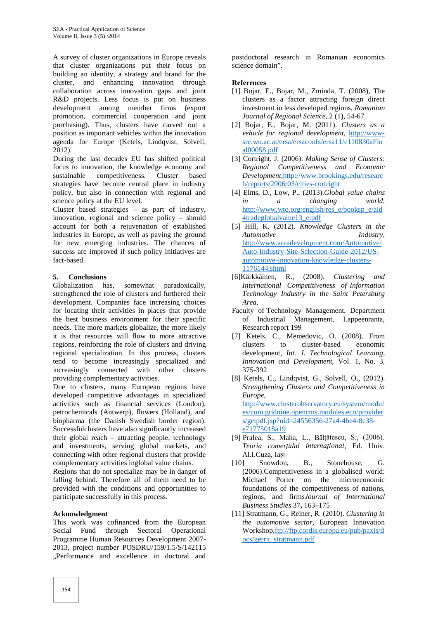A survey of cluster organizations in Europe reveals that cluster organizations put their focus on building an identity, a strategy and brand for the cluster, and enhancing innovation through collaboration across innovation gaps and joint R&D projects. Less focus is put on business development among member firms (export promotion, commercial cooperation and joint purchasing). Thus, clusters have carved out a position as important vehicles within the innovation agenda for Europe (Ketels, Lindqvist, Solvell, 2012).

During the last decades EU has shifted political focus to innovation, the knowledge economy and sustainable competitiveness. Cluster based strategies have become central place in industry policy, but also in connection with regional and science policy at the EU level.

Cluster based strategies – as part of industry, innovation, regional and science policy – should account for both a rejuvenation of established industries in Europe, as well as paving the ground for new emerging industries. The chances of success are improved if such policy initiatives are fact-based.

# **5. Conclusions**

somewhat paradoxically, strengthened the role of clusters and furthered their development. Companies face increasing choices for locating their activities in places that provide the best business environment for their specific needs. The more markets globalize, the more likely it is that resources will flow to more attractive regions, reinforcing the role of clusters and driving regional specialization. In this process, clusters tend to become increasingly specialized and increasingly connected with other clusters providing complementary activities.

Due to clusters, many European regions have developed competitive advantages in specialized activities such as financial services (London), petrochemicals (Antwerp), flowers (Holland), and biopharma (the Danish Swedish border region). Successfulclusters have also significantly increased their global reach – attracting people, technology and investments, serving global markets, and connecting with other regional clusters that provide complementary activities inglobal value chains.

Regions that do not specialize may be in danger of falling behind. Therefore all of them need to be provided with the conditions and opportunities to participate successfully in this process.

#### **Acknowledgment**

This work was cofinanced from the European Social Fund through Sectoral Operational Programme Human Resources Development 2007- 2013, project number POSDRU/159/1.5/S/142115 "Performance and excellence in doctoral and

postdoctoral research in Romanian economics science domain".

#### **References**

- [1] Bojar, E., Bojar, M., Zminda, T. (2008), The clusters as a factor attracting foreign direct investment in less developed regions, *Romanian Journal of Regional Science,* 2 (1), 54-67
- [2] Bojar, E., Bojar, M. (2011). *Clusters as a vehicle for regional development*, http://www sre.wu.ac.at/ersa/ersaconfs/ersa11/e110830aFin al00058.pdf
- [3] Cortright, J. (2006). *Making Sense of Clusters: Regional Competitiveness and Economic Development,*http://www.brookings.edu/researc h/reports/2006/03/cities-cortright
- [4] Elms, D., Low, P., (2013).*Global value chains in a changing world*, http://www.wto.org/english/res\_e/booksp\_e/aid 4tradeglobalvalue13\_e.pdf
- [5] Hill, K. (2012). *Knowledge Clusters in the Automotive Industry*, http://www.areadevelopment.com/Automotive/ Auto-Industry-Site-Selection-Guide-2012/US automotive-innovation-knowledge-clusters- 1176144.shtml
- [6]Kärkkäinen, R., (2008). *Clustering and International Competitiveness of Information Technology Industry in the Saint Petersburg Area*,
- Faculty of Technology Management, Department of Industrial Management, Lappeenranta, Research report 199
- [7] Ketels, C., Memedovic, O. (2008). From clusters to cluster-based economic development, *Int. J. Technological Learning, Innovation and Development,* Vol. 1, No. 3, 375-392
- [8] Ketels, C., Lindqvist, G., Solvell, O., (2012). *Strengthening Clusters and Competitiveness in Europe*, http://www.clusterobservatory.eu/system/modul es/com.gridnine.opencms.modules.eco/provider s/getpdf.jsp?uid=24556356-27a4-4be4-8c38 e71775018a19
- [9] Pralea, S., Maha, L., B lțătescu, S., (2006). *Teoria comerțului internațional*, Ed. Univ. Al.I.Cuza, Ia i
- [10] Snowdon, B., Stonehouse, G. (2006).Competitiveness in a globalised world: Michael Porter on the microeconomic foundations of the competitiveness of nations, regions, and firms*Journal of International Business Studies* 37**,** 163–175
- [11] Stratmann, G., Reiner, R. (2010). *Clustering in the automotive sector,* European Innovation Workshop,ftp://ftp.cordis.europa.eu/pub/paxis/d ocs/gerrit\_stratmann.pdf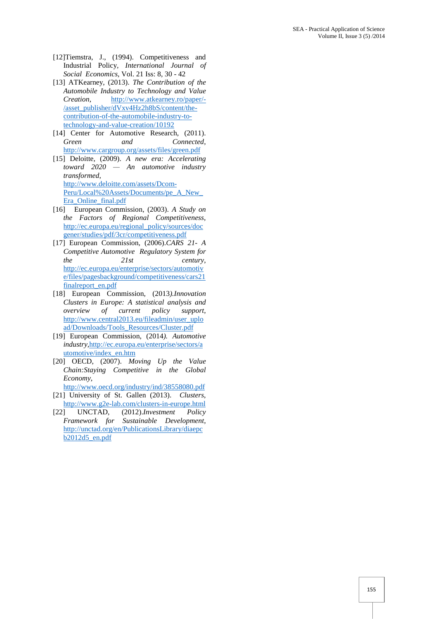- [12]Tiemstra, J., (1994). Competitiveness and Industrial Policy*, International Journal of Social Economics*, Vol. 21 Iss: 8, 30 - 42
- [13] ATKearney, (2013). *The Contribution of the Automobile Industry to Technology and Value Creation*, http://www.atkearney.ro/paper/- /asset\_publisher/dVxv4Hz2h8bS/content/the contribution-of-the-automobile-industry-totechnology-and-value-creation/10192
- [14] Center for Automotive Research,  $(2011)$ . *Green and Connected*, http://www.cargroup.org/assets/files/green.pdf
- [15] Deloitte, (2009). *A new era: Accelerating toward 2020 — An automotive industry transformed*, http://www.deloitte.com/assets/Dcom- Peru/Local%20Assets/Documents/pe\_A\_New\_ Era\_Online\_final.pdf
- [16] European Commission, (2003). *A Study on the Factors of Regional Competitiveness*, http://ec.europa.eu/regional\_policy/sources/doc gener/studies/pdf/3cr/competitiveness.pdf
- [17] European Commission, (2006).*CARS 21- A Competitive Automotive Regulatory System for the 21st century*, http://ec.europa.eu/enterprise/sectors/automotiv e/files/pagesbackground/competitiveness/cars21 finalreport\_en.pdf
- [18] European Commission, (2013*).Innovation Clusters in Europe: A statistical analysis and overview of current policy support*, http://www.central2013.eu/fileadmin/user\_uplo ad/Downloads/Tools\_Resources/Cluster.pdf
- [19] European Commission, (2014*). Automotive industry,*http://ec.europa.eu/enterprise/sectors/a utomotive/index\_en.htm
- [20] OECD, (2007). *Moving Up the Value Chain:Staying Competitive in the Global Economy*,
- http://www.oecd.org/industry/ind/38558080.pdf [21] University of St. Gallen (2013). *Clusters*,
- http://www.g2e-lab.com/clusters-in-europe.html [22] UNCTAD, (2012).*Investment Policy*
- *Framework for Sustainable Development*, http://unctad.org/en/PublicationsLibrary/diaepc b2012d5\_en.pdf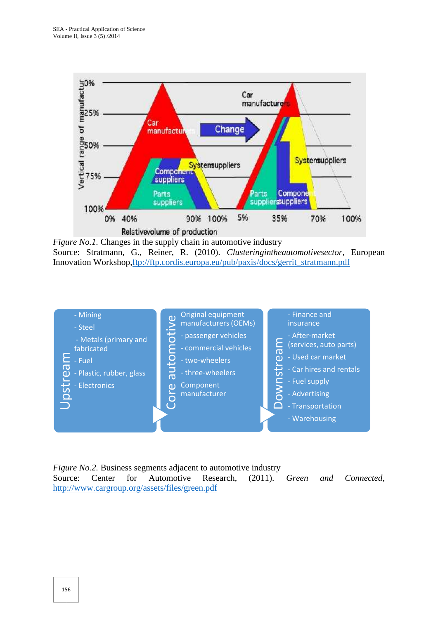

*Figure No.1.* Changes in the supply chain in automotive industry Source: Stratmann, G., Reiner, R. (2010). *Clusteringintheautomotivesector,* European Innovation Workshop,ftp://ftp.cordis.europa.eu/pub/paxis/docs/gerrit\_stratmann.pdf



*Figure No.2.* Business segments adjacent to automotive industry Source: Center for Automotive Research, (2011). *Green and Connected*,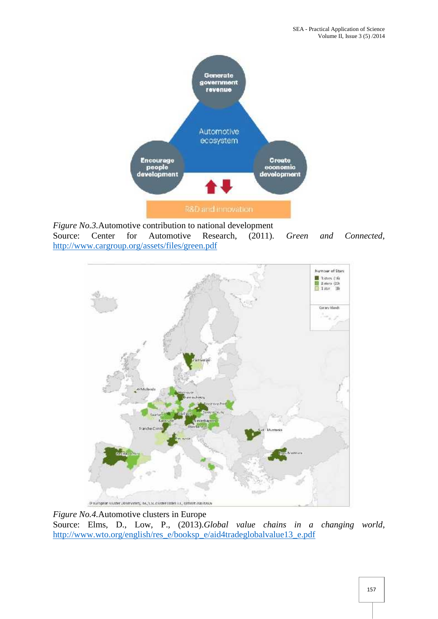

*Figure No.3.*Automotive contribution to national development Source: Center for Automotive Research, (2011). *Green and Connected*, http://www.cargroup.org/assets/files/green.pdf



*Figure No.4.*Automotive clusters in Europe Source: Elms, D., Low, P., (2013).*Global value chains in a changing world*, http://www.wto.org/english/res\_e/booksp\_e/aid4tradeglobalvalue13\_e.pdf